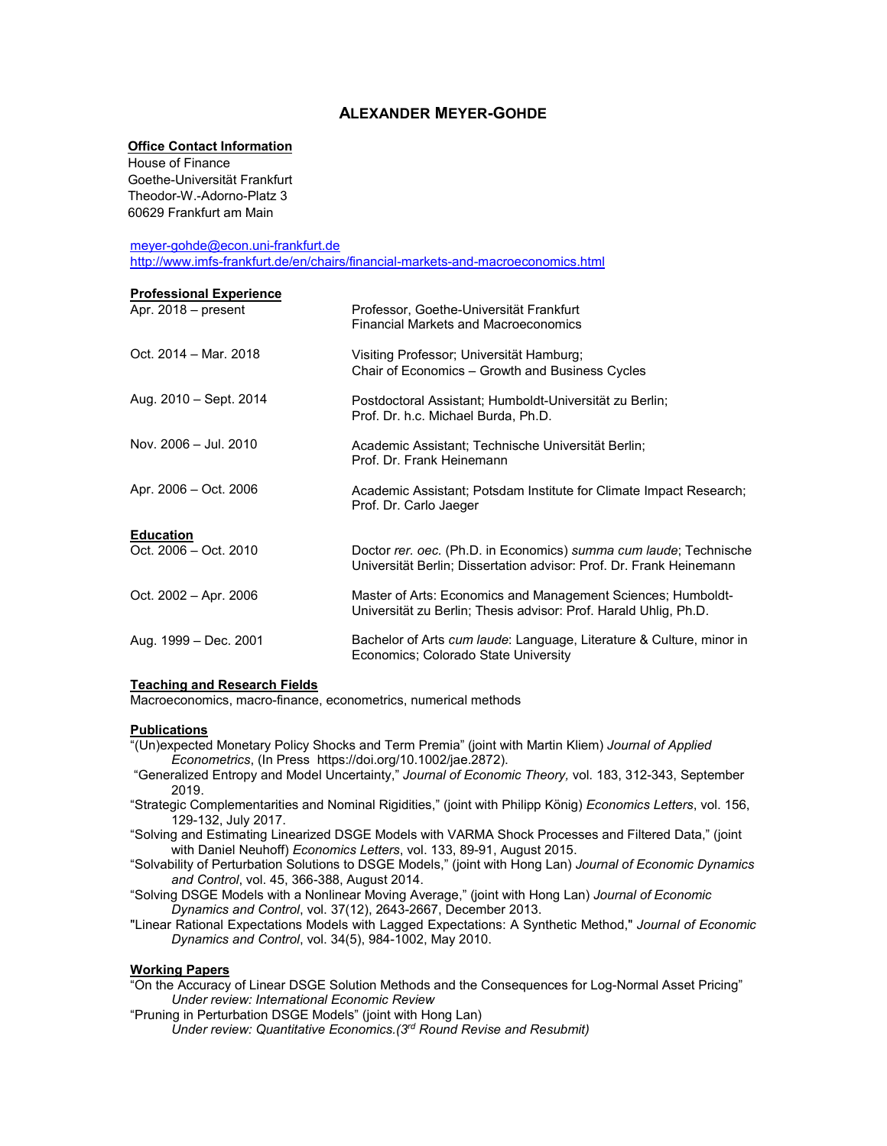# **ALEXANDER MEYER-GOHDE**

## **Office Contact Information**

House of Finance Goethe-Universität Frankfurt Theodor-W.-Adorno-Platz 3 60629 Frankfurt am Main

[meyer-gohde@econ.uni-frankfurt.de](mailto:meyer-gohde@econ.uni-frankfurt.de)

<http://www.imfs-frankfurt.de/en/chairs/financial-markets-and-macroeconomics.html>

| <b>Professional Experience</b>            |                                                                                                                                          |
|-------------------------------------------|------------------------------------------------------------------------------------------------------------------------------------------|
| Apr. 2018 – present                       | Professor, Goethe-Universität Frankfurt<br><b>Financial Markets and Macroeconomics</b>                                                   |
| Oct. 2014 - Mar. 2018                     | Visiting Professor; Universität Hamburg;<br>Chair of Economics - Growth and Business Cycles                                              |
| Aug. 2010 - Sept. 2014                    | Postdoctoral Assistant; Humboldt-Universität zu Berlin;<br>Prof. Dr. h.c. Michael Burda, Ph.D.                                           |
| Nov. 2006 - Jul. 2010                     | Academic Assistant; Technische Universität Berlin;<br>Prof. Dr. Frank Heinemann                                                          |
| Apr. 2006 - Oct. 2006                     | Academic Assistant; Potsdam Institute for Climate Impact Research;<br>Prof. Dr. Carlo Jaeger                                             |
|                                           |                                                                                                                                          |
| <b>Education</b><br>Oct. 2006 - Oct. 2010 | Doctor rer. oec. (Ph.D. in Economics) summa cum laude; Technische<br>Universität Berlin; Dissertation advisor: Prof. Dr. Frank Heinemann |
| Oct. 2002 - Apr. 2006                     | Master of Arts: Economics and Management Sciences; Humboldt-<br>Universität zu Berlin; Thesis advisor: Prof. Harald Uhlig, Ph.D.         |
| Aug. 1999 – Dec. 2001                     | Bachelor of Arts cum laude: Language, Literature & Culture, minor in<br>Economics; Colorado State University                             |
|                                           |                                                                                                                                          |

### **Teaching and Research Fields**

Macroeconomics, macro-finance, econometrics, numerical methods

### **Publications**

- "(Un)expected Monetary Policy Shocks and Term Premia" (joint with Martin Kliem) *Journal of Applied Econometrics*, (In Press https://doi.org/10.1002/jae.2872).
- "Generalized Entropy and Model Uncertainty," *Journal of Economic Theory,* vol. 183, 312-343, September 2019.
- "Strategic Complementarities and Nominal Rigidities," (joint with Philipp König) *Economics Letters*, vol. 156, 129-132, July 2017.
- "Solving and Estimating Linearized DSGE Models with VARMA Shock Processes and Filtered Data," (joint with Daniel Neuhoff) *Economics Letters*, vol. 133, 89-91, August 2015.
- "Solvability of Perturbation Solutions to DSGE Models," (joint with Hong Lan) *Journal of Economic Dynamics and Control*, vol. 45, 366-388, August 2014.
- "Solving DSGE Models with a Nonlinear Moving Average," (joint with Hong Lan) *Journal of Economic Dynamics and Control*, vol. 37(12), 2643-2667, December 2013.
- "Linear Rational Expectations Models with Lagged Expectations: A Synthetic Method," *Journal of Economic Dynamics and Control*, vol. 34(5), 984-1002, May 2010.

### **Working Papers**

"On the Accuracy of Linear DSGE Solution Methods and the Consequences for Log-Normal Asset Pricing" *Under review: International Economic Review*

- "Pruning in Perturbation DSGE Models" (joint with Hong Lan)
	- *Under review: Quantitative Economics.(3rd Round Revise and Resubmit)*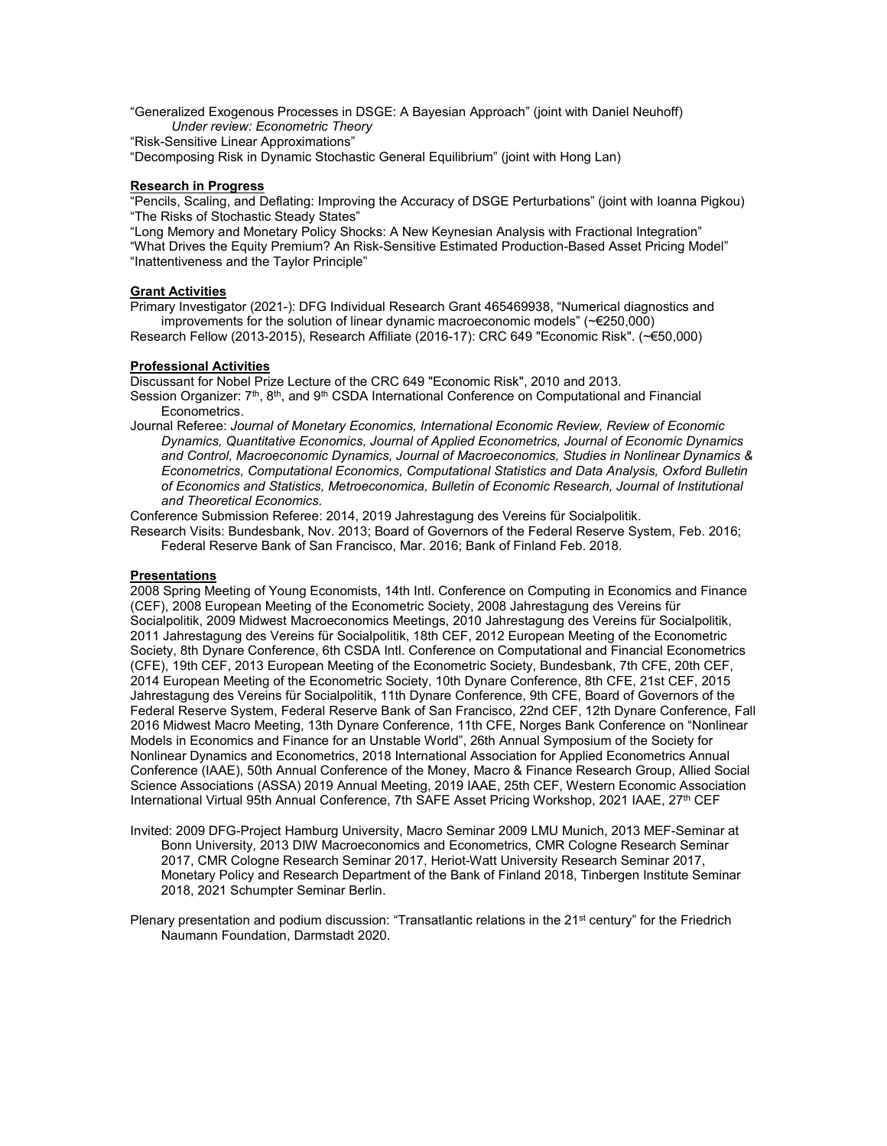"Generalized Exogenous Processes in DSGE: A Bayesian Approach" (joint with Daniel Neuhoff) *Under review: Econometric Theory*

"Risk-Sensitive Linear Approximations"

"Decomposing Risk in Dynamic Stochastic General Equilibrium" (joint with Hong Lan)

### **Research in Progress**

"Pencils, Scaling, and Deflating: Improving the Accuracy of DSGE Perturbations" (joint with Ioanna Pigkou) "The Risks of Stochastic Steady States"

"Long Memory and Monetary Policy Shocks: A New Keynesian Analysis with Fractional Integration" "What Drives the Equity Premium? An Risk-Sensitive Estimated Production-Based Asset Pricing Model" "Inattentiveness and the Taylor Principle"

### **Grant Activities**

Primary Investigator (2021-): DFG Individual Research Grant 465469938, "Numerical diagnostics and improvements for the solution of linear dynamic macroeconomic models" (~€250,000)

Research Fellow (2013-2015), Research Affiliate (2016-17): CRC 649 "Economic Risk". (~€50,000)

#### **Professional Activities**

Discussant for Nobel Prize Lecture of the CRC 649 "Economic Risk", 2010 and 2013. Session Organizer: 7<sup>th</sup>, 8<sup>th</sup>, and 9<sup>th</sup> CSDA International Conference on Computational and Financial Econometrics.

Journal Referee: *Journal of Monetary Economics, International Economic Review, Review of Economic Dynamics, Quantitative Economics, Journal of Applied Econometrics, Journal of Economic Dynamics and Control, Macroeconomic Dynamics, Journal of Macroeconomics, Studies in Nonlinear Dynamics & Econometrics, Computational Economics, Computational Statistics and Data Analysis, Oxford Bulletin of Economics and Statistics, Metroeconomica, Bulletin of Economic Research, Journal of Institutional and Theoretical Economics.*

Conference Submission Referee: 2014, 2019 Jahrestagung des Vereins für Socialpolitik.

Research Visits: Bundesbank, Nov. 2013; Board of Governors of the Federal Reserve System, Feb. 2016; Federal Reserve Bank of San Francisco, Mar. 2016; Bank of Finland Feb. 2018.

#### **Presentations**

2008 Spring Meeting of Young Economists, 14th Intl. Conference on Computing in Economics and Finance (CEF), 2008 European Meeting of the Econometric Society, 2008 Jahrestagung des Vereins für Socialpolitik, 2009 Midwest Macroeconomics Meetings, 2010 Jahrestagung des Vereins für Socialpolitik, 2011 Jahrestagung des Vereins für Socialpolitik, 18th CEF, 2012 European Meeting of the Econometric Society, 8th Dynare Conference, 6th CSDA Intl. Conference on Computational and Financial Econometrics (CFE), 19th CEF, 2013 European Meeting of the Econometric Society, Bundesbank, 7th CFE, 20th CEF, 2014 European Meeting of the Econometric Society, 10th Dynare Conference, 8th CFE, 21st CEF, 2015 Jahrestagung des Vereins für Socialpolitik, 11th Dynare Conference, 9th CFE, Board of Governors of the Federal Reserve System, Federal Reserve Bank of San Francisco, 22nd CEF, 12th Dynare Conference, Fall 2016 Midwest Macro Meeting, 13th Dynare Conference, 11th CFE, Norges Bank Conference on "Nonlinear Models in Economics and Finance for an Unstable World", 26th Annual Symposium of the Society for Nonlinear Dynamics and Econometrics, 2018 International Association for Applied Econometrics Annual Conference (IAAE), 50th Annual Conference of the Money, Macro & Finance Research Group, Allied Social Science Associations (ASSA) 2019 Annual Meeting, 2019 IAAE, 25th CEF, Western Economic Association International Virtual 95th Annual Conference, 7th SAFE Asset Pricing Workshop, 2021 IAAE, 27<sup>th</sup> CEF

Invited: 2009 DFG-Project Hamburg University, Macro Seminar 2009 LMU Munich, 2013 MEF-Seminar at Bonn University, 2013 DIW Macroeconomics and Econometrics, CMR Cologne Research Seminar 2017, CMR Cologne Research Seminar 2017, Heriot-Watt University Research Seminar 2017, Monetary Policy and Research Department of the Bank of Finland 2018, Tinbergen Institute Seminar 2018, 2021 Schumpter Seminar Berlin.

Plenary presentation and podium discussion: "Transatlantic relations in the 21<sup>st</sup> century" for the Friedrich Naumann Foundation, Darmstadt 2020.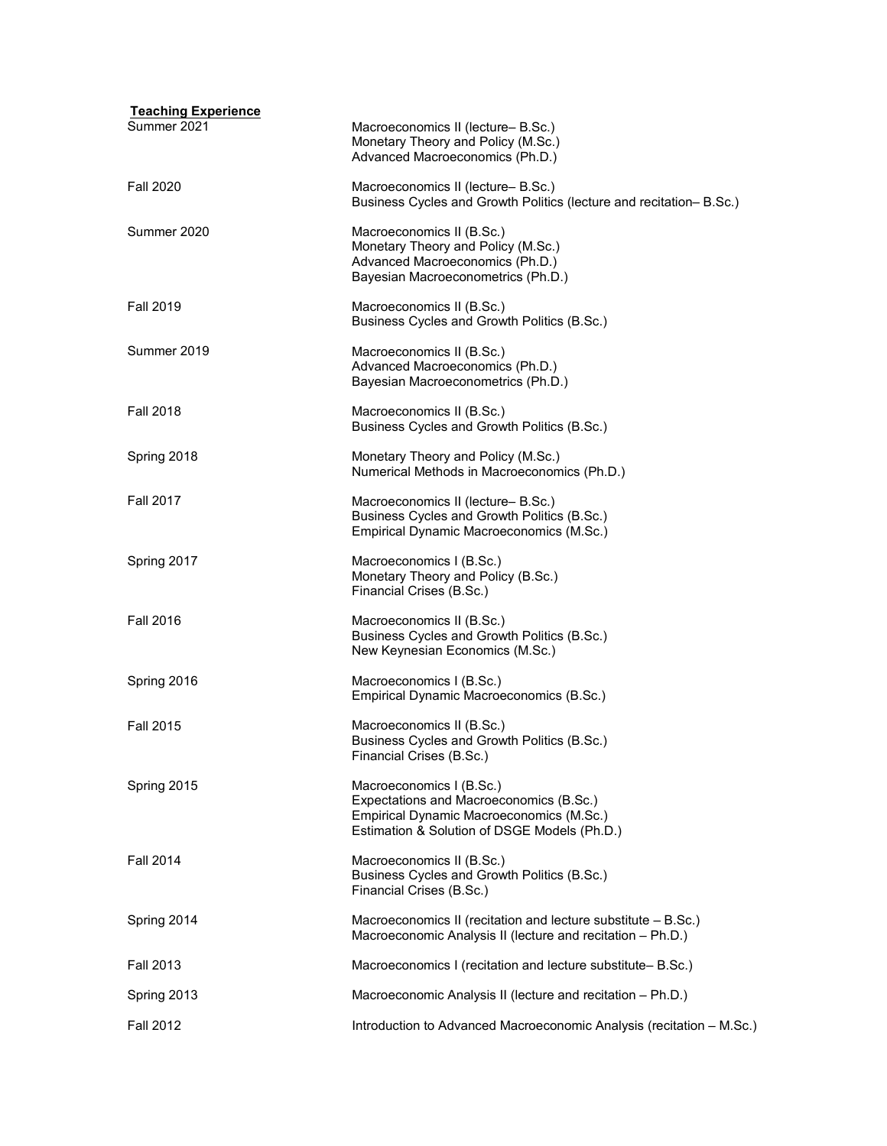| <b>Teaching Experience</b><br>Summer 2021 | Macroeconomics II (lecture-B.Sc.)                                                                                                                               |
|-------------------------------------------|-----------------------------------------------------------------------------------------------------------------------------------------------------------------|
|                                           | Monetary Theory and Policy (M.Sc.)<br>Advanced Macroeconomics (Ph.D.)                                                                                           |
| <b>Fall 2020</b>                          | Macroeconomics II (lecture-B.Sc.)<br>Business Cycles and Growth Politics (lecture and recitation-B.Sc.)                                                         |
| Summer 2020                               | Macroeconomics II (B.Sc.)<br>Monetary Theory and Policy (M.Sc.)<br>Advanced Macroeconomics (Ph.D.)<br>Bayesian Macroeconometrics (Ph.D.)                        |
| <b>Fall 2019</b>                          | Macroeconomics II (B.Sc.)<br>Business Cycles and Growth Politics (B.Sc.)                                                                                        |
| Summer 2019                               | Macroeconomics II (B.Sc.)<br>Advanced Macroeconomics (Ph.D.)<br>Bayesian Macroeconometrics (Ph.D.)                                                              |
| <b>Fall 2018</b>                          | Macroeconomics II (B.Sc.)<br>Business Cycles and Growth Politics (B.Sc.)                                                                                        |
| Spring 2018                               | Monetary Theory and Policy (M.Sc.)<br>Numerical Methods in Macroeconomics (Ph.D.)                                                                               |
| <b>Fall 2017</b>                          | Macroeconomics II (lecture-B.Sc.)<br>Business Cycles and Growth Politics (B.Sc.)<br>Empirical Dynamic Macroeconomics (M.Sc.)                                    |
| Spring 2017                               | Macroeconomics I (B.Sc.)<br>Monetary Theory and Policy (B.Sc.)<br>Financial Crises (B.Sc.)                                                                      |
| <b>Fall 2016</b>                          | Macroeconomics II (B.Sc.)<br>Business Cycles and Growth Politics (B.Sc.)<br>New Keynesian Economics (M.Sc.)                                                     |
| Spring 2016                               | Macroeconomics I (B.Sc.)<br>Empirical Dynamic Macroeconomics (B.Sc.)                                                                                            |
| <b>Fall 2015</b>                          | Macroeconomics II (B.Sc.)<br>Business Cycles and Growth Politics (B.Sc.)<br>Financial Crises (B.Sc.)                                                            |
| Spring 2015                               | Macroeconomics I (B.Sc.)<br>Expectations and Macroeconomics (B.Sc.)<br>Empirical Dynamic Macroeconomics (M.Sc.)<br>Estimation & Solution of DSGE Models (Ph.D.) |
| <b>Fall 2014</b>                          | Macroeconomics II (B.Sc.)<br>Business Cycles and Growth Politics (B.Sc.)<br>Financial Crises (B.Sc.)                                                            |
| Spring 2014                               | Macroeconomics II (recitation and lecture substitute $-$ B.Sc.)<br>Macroeconomic Analysis II (lecture and recitation - Ph.D.)                                   |
| <b>Fall 2013</b>                          | Macroeconomics I (recitation and lecture substitute-B.Sc.)                                                                                                      |
| Spring 2013                               | Macroeconomic Analysis II (lecture and recitation – Ph.D.)                                                                                                      |
| <b>Fall 2012</b>                          | Introduction to Advanced Macroeconomic Analysis (recitation - M.Sc.)                                                                                            |